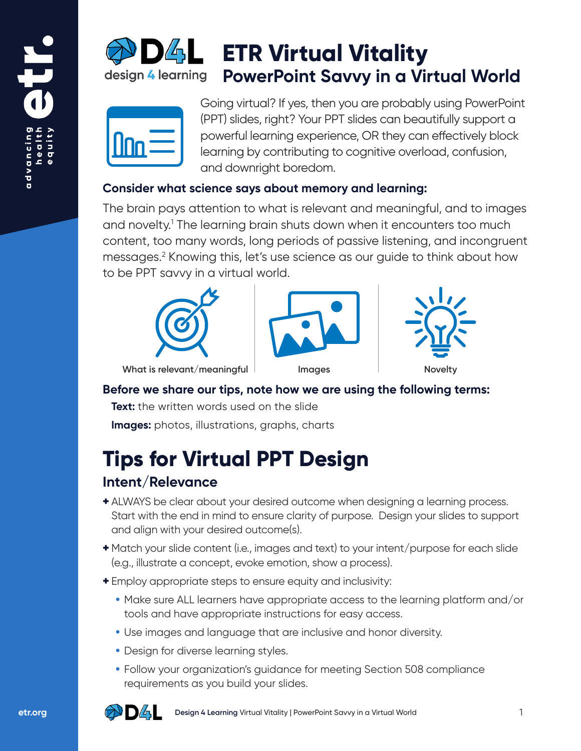

# **ETR Virtual Vitality PowerPoint Savvy in a Virtual World**

| <u>JIM</u> |
|------------|
|------------|

Going virtual? If yes, then you are probably using PowerPoint (PPT) slides, right? Your PPT slides can beautifully support a powerful learning experience, OR they can effectively block learning by contributing to cognitive overload, confusion, and downright boredom.

#### **Consider what science says about memory and learning:**

The brain pays attention to what is relevant and meaningful, and to images and novelty.<sup>1</sup> The learning brain shuts down when it encounters too much content, too many words, long periods of passive listening, and incongruent messages.2 Knowing this, let's use science as our guide to think about how to be PPT savvy in a virtual world.







**What is relevant/meaningful Images IMAGE IMAGE IN Novelty** 

#### **Before we share our tips, note how we are using the following terms:**

**Text:** the written words used on the slide

**Images:** photos, illustrations, graphs, charts

# **Tips for Virtual PPT Design**

## **Intent/Relevance**

- + ALWAYS be clear about your desired outcome when designing a learning process. Start with the end in mind to ensure clarity of purpose. Design your slides to support and align with your desired outcome(s).
- + Match your slide content (i.e., images and text) to your intent/purpose for each slide (e.g., illustrate a concept, evoke emotion, show a process).
- + Employ appropriate steps to ensure equity and inclusivity:
	- **•** Make sure ALL learners have appropriate access to the learning platform and/or tools and have appropriate instructions for easy access.
	- **•** Use images and language that are inclusive and honor diversity.
	- **•** Design for diverse learning styles.
	- **•** Follow your organization's guidance for meeting Section 508 compliance requirements as you build your slides.

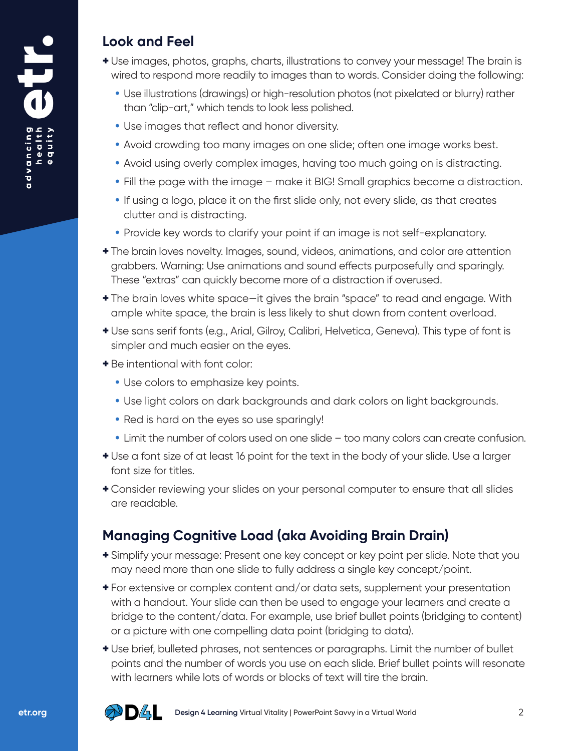#### **Look and Feel**

- + Use images, photos, graphs, charts, illustrations to convey your message! The brain is wired to respond more readily to images than to words. Consider doing the following:
	- **•** Use illustrations (drawings) or high-resolution photos (not pixelated or blurry) rather than "clip-art," which tends to look less polished.
	- **•** Use images that reflect and honor diversity.
	- **•** Avoid crowding too many images on one slide; often one image works best.
	- **•** Avoid using overly complex images, having too much going on is distracting.
	- **•** Fill the page with the image make it BIG! Small graphics become a distraction.
	- **•** If using a logo, place it on the first slide only, not every slide, as that creates clutter and is distracting.
	- **•** Provide key words to clarify your point if an image is not self-explanatory.
- + The brain loves novelty. Images, sound, videos, animations, and color are attention grabbers. Warning: Use animations and sound effects purposefully and sparingly. These "extras" can quickly become more of a distraction if overused.
- + The brain loves white space—it gives the brain "space" to read and engage. With ample white space, the brain is less likely to shut down from content overload.
- + Use sans serif fonts (e.g., Arial, Gilroy, Calibri, Helvetica, Geneva). This type of font is simpler and much easier on the eyes.
- + Be intentional with font color:
	- **•** Use colors to emphasize key points.
	- **•** Use light colors on dark backgrounds and dark colors on light backgrounds.
	- **•** Red is hard on the eyes so use sparingly!
	- **•** Limit the number of colors used on one slide too many colors can create confusion.
- + Use a font size of at least 16 point for the text in the body of your slide. Use a larger font size for titles.
- + Consider reviewing your slides on your personal computer to ensure that all slides are readable.

# **Managing Cognitive Load (aka Avoiding Brain Drain)**

- + Simplify your message: Present one key concept or key point per slide. Note that you may need more than one slide to fully address a single key concept/point.
- + For extensive or complex content and/or data sets, supplement your presentation with a handout. Your slide can then be used to engage your learners and create a bridge to the content/data. For example, use brief bullet points (bridging to content) or a picture with one compelling data point (bridging to data).
- + Use brief, bulleted phrases, not sentences or paragraphs. Limit the number of bullet points and the number of words you use on each slide. Brief bullet points will resonate with learners while lots of words or blocks of text will tire the brain.